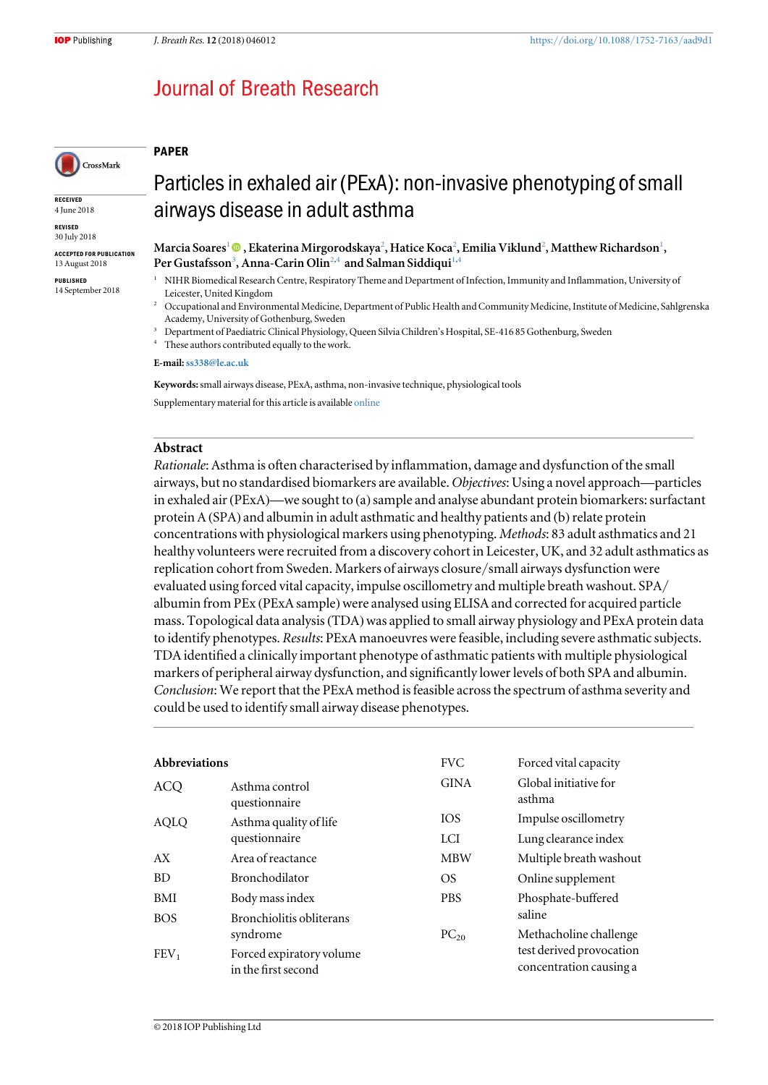PAPER

## **Journal of Breath Research**

# CrossMark

**RECEIVED** 4 June 2018

REVISED 30 July 2018

ACCEPTED FOR PUBLICATION 13 August 2018

PUBLISHED 14 September 2018

## Particles in exhaled air (PExA): non-invasive phenotyping of small airways disease in adult asthma

Marcia Soares'  $\bm{\textcircled{\textcirc}}$  [,](https://orcid.org/0000-0002-0205-6927) Ekaterina Mirgorodskaya $^2$ , Hatice Koca $^2$ , Emilia Viklund $^2$ , Matthew Richardson $^1$ , Per Gustafsson<sup>3</sup>, Anna-Carin Olin<sup>2,4</sup> and Salman Siddiqui<sup>1,4</sup>

- <sup>1</sup> NIHR Biomedical Research Centre, Respiratory Theme and Department of Infection, Immunity and Inflammation, University of Leicester, United Kingdom
- <sup>2</sup> Occupational and Environmental Medicine, Department of Public Health and Community Medicine, Institute of Medicine, Sahlgrenska Academy, University of Gothenburg, Sweden
- <sup>3</sup> Department of Paediatric Clinical Physiology, Queen Silvia Children's Hospital, SE-416 85 Gothenburg, Sweden
- <sup>4</sup> These authors contributed equally to the work.

E-mail:[ss338@le.ac.uk](mailto:ss338@le.ac.uk)

Keywords: small airways disease, PExA, asthma, non-invasive technique, physiological tools Supplementary material for this article is available [online](https://doi.org/10.1088/1752-7163/aad9d1)

### Abstract

Rationale: Asthma is often characterised by inflammation, damage and dysfunction of the small airways, but no standardised biomarkers are available. Objectives: Using a novel approach—particles in exhaled air (PExA)—we sought to (a) sample and analyse abundant protein biomarkers: surfactant protein A (SPA) and albumin in adult asthmatic and healthy patients and (b) relate protein concentrations with physiological markers using phenotyping. Methods: 83 adult asthmatics and 21 healthy volunteers were recruited from a discovery cohort in Leicester, UK, and 32 adult asthmatics as replication cohort from Sweden. Markers of airways closure/small airways dysfunction were evaluated using forced vital capacity, impulse oscillometry and multiple breath washout. SPA/ albumin from PEx (PExA sample) were analysed using ELISA and corrected for acquired particle mass. Topological data analysis (TDA) was applied to small airway physiology and PExA protein data to identify phenotypes. Results: PExA manoeuvres were feasible, including severe asthmatic subjects. TDA identified a clinically important phenotype of asthmatic patients with multiple physiological markers of peripheral airway dysfunction, and significantly lower levels of both SPA and albumin. Conclusion: We report that the PExA method is feasible across the spectrum of asthma severity and could be used to identify small airway disease phenotypes.

| <b>Abbreviations</b> |                                                 | <b>FVC</b>  | Forced vital capacity                               |
|----------------------|-------------------------------------------------|-------------|-----------------------------------------------------|
| <b>ACQ</b>           | Asthma control<br>questionnaire                 | <b>GINA</b> | Global initiative for<br>asthma                     |
| AQLQ                 | Asthma quality of life                          | <b>IOS</b>  | Impulse oscillometry                                |
|                      | questionnaire                                   | LCI         | Lung clearance index                                |
| AX                   | Area of reactance                               | <b>MBW</b>  | Multiple breath washout                             |
| BD.                  | <b>Bronchodilator</b>                           | OS.         | Online supplement                                   |
| BMI                  | Body mass index                                 | <b>PBS</b>  | Phosphate-buffered                                  |
| <b>BOS</b>           | Bronchiolitis obliterans                        |             | saline                                              |
|                      | syndrome                                        | $PC_{20}$   | Methacholine challenge                              |
| FEV <sub>1</sub>     | Forced expiratory volume<br>in the first second |             | test derived provocation<br>concentration causing a |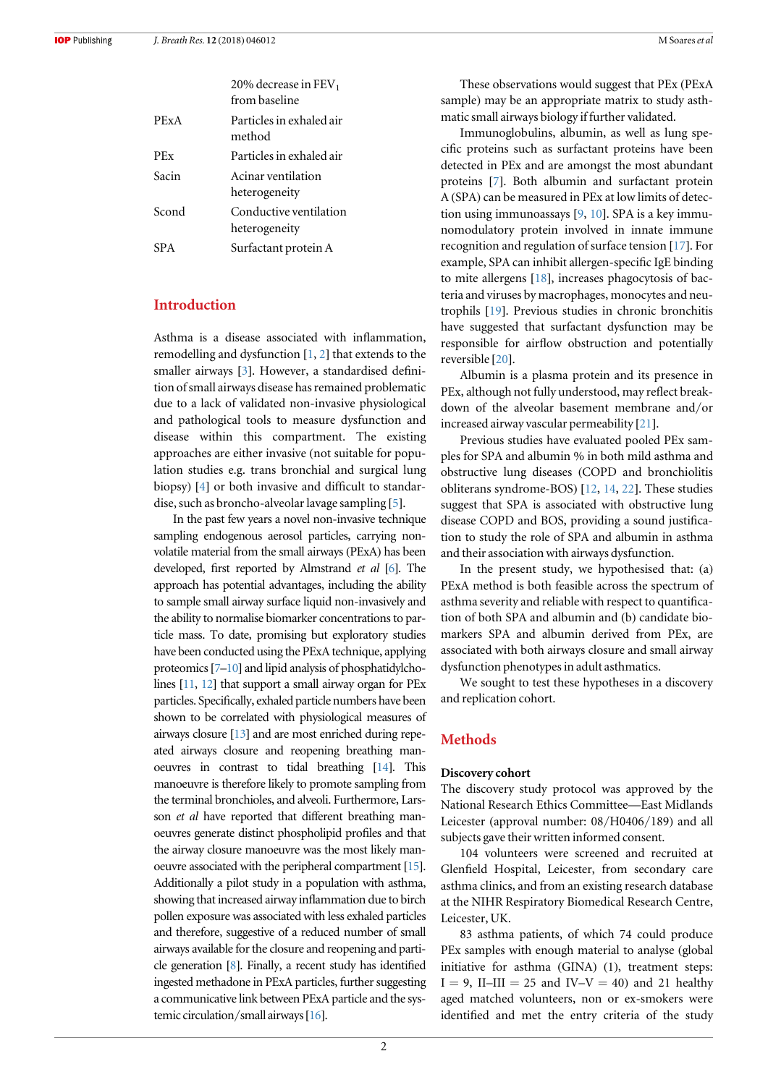| M Soares et al |
|----------------|
|----------------|

|       | 20% decrease in $FEV1$<br>from baseline |
|-------|-----------------------------------------|
| PExA  | Particles in exhaled air<br>method      |
| PEx   | Particles in exhaled air                |
| Sacin | Acinar ventilation<br>heterogeneity     |
| Scond | Conductive ventilation<br>heterogeneity |
| SPA.  | Surfactant protein A                    |
|       |                                         |

## Introduction

Asthma is a disease associated with inflammation, remodelling and dysfunction [[1](#page-9-0), [2](#page-9-0)] that extends to the smaller airways [[3](#page-9-0)]. However, a standardised definition of small airways disease has remained problematic due to a lack of validated non-invasive physiological and pathological tools to measure dysfunction and disease within this compartment. The existing approaches are either invasive (not suitable for population studies e.g. trans bronchial and surgical lung biopsy) [[4](#page-9-0)] or both invasive and difficult to standardise, such as broncho-alveolar lavage sampling [[5](#page-9-0)].

In the past few years a novel non-invasive technique sampling endogenous aerosol particles, carrying nonvolatile material from the small airways (PExA) has been developed, first reported by Almstrand et al [[6](#page-9-0)]. The approach has potential advantages, including the ability to sample small airway surface liquid non-invasively and the ability to normalise biomarker concentrations to particle mass. To date, promising but exploratory studies have been conducted using the PExA technique, applying proteomics[[7](#page-9-0)–[10](#page-9-0)] and lipid analysis of phosphatidylcholines [[11,](#page-9-0) [12](#page-9-0)] that support a small airway organ for PEx particles. Specifically, exhaled particle numbers have been shown to be correlated with physiological measures of airways closure [[13](#page-9-0)] and are most enriched during repeated airways closure and reopening breathing manoeuvres in contrast to tidal breathing [[14](#page-9-0)]. This manoeuvre is therefore likely to promote sampling from the terminal bronchioles, and alveoli. Furthermore, Larsson *et al* have reported that different breathing manoeuvres generate distinct phospholipid profiles and that the airway closure manoeuvre was the most likely manoeuvre associated with the peripheral compartment [[15](#page-9-0)]. Additionally a pilot study in a population with asthma, showing that increased airway inflammation due to birch pollen exposure was associated with less exhaled particles and therefore, suggestive of a reduced number of small airways available for the closure and reopening and particle generation [[8](#page-9-0)]. Finally, a recent study has identified ingested methadone in PExA particles, further suggesting a communicative link between PExA particle and the systemic circulation/small airways[[16](#page-9-0)].

These observations would suggest that PEx (PExA sample) may be an appropriate matrix to study asthmatic small airways biology if further validated.

Immunoglobulins, albumin, as well as lung specific proteins such as surfactant proteins have been detected in PEx and are amongst the most abundant proteins [[7](#page-9-0)]. Both albumin and surfactant protein A (SPA) can be measured in PEx at low limits of detection using immunoassays [[9,](#page-9-0) [10](#page-9-0)]. SPA is a key immunomodulatory protein involved in innate immune recognition and regulation of surface tension [[17](#page-9-0)]. For example, SPA can inhibit allergen-specific IgE binding to mite allergens [[18](#page-9-0)], increases phagocytosis of bacteria and viruses by macrophages, monocytes and neutrophils [[19](#page-9-0)]. Previous studies in chronic bronchitis have suggested that surfactant dysfunction may be responsible for airflow obstruction and potentially reversible [[20](#page-10-0)].

Albumin is a plasma protein and its presence in PEx, although not fully understood, may reflect breakdown of the alveolar basement membrane and/or increased airway vascular permeability [[21](#page-10-0)].

Previous studies have evaluated pooled PEx samples for SPA and albumin % in both mild asthma and obstructive lung diseases (COPD and bronchiolitis obliterans syndrome-BOS) [[12,](#page-9-0) [14](#page-9-0), [22](#page-10-0)]. These studies suggest that SPA is associated with obstructive lung disease COPD and BOS, providing a sound justification to study the role of SPA and albumin in asthma and their association with airways dysfunction.

In the present study, we hypothesised that: (a) PExA method is both feasible across the spectrum of asthma severity and reliable with respect to quantification of both SPA and albumin and (b) candidate biomarkers SPA and albumin derived from PEx, are associated with both airways closure and small airway dysfunction phenotypes in adult asthmatics.

We sought to test these hypotheses in a discovery and replication cohort.

#### Methods

#### Discovery cohort

The discovery study protocol was approved by the National Research Ethics Committee—East Midlands Leicester (approval number: 08/H0406/189) and all subjects gave their written informed consent.

104 volunteers were screened and recruited at Glenfield Hospital, Leicester, from secondary care asthma clinics, and from an existing research database at the NIHR Respiratory Biomedical Research Centre, Leicester, UK.

83 asthma patients, of which 74 could produce PEx samples with enough material to analyse (global initiative for asthma (GINA) (1), treatment steps:  $I = 9$ , II–III = 25 and IV–V = 40) and 21 healthy aged matched volunteers, non or ex-smokers were identified and met the entry criteria of the study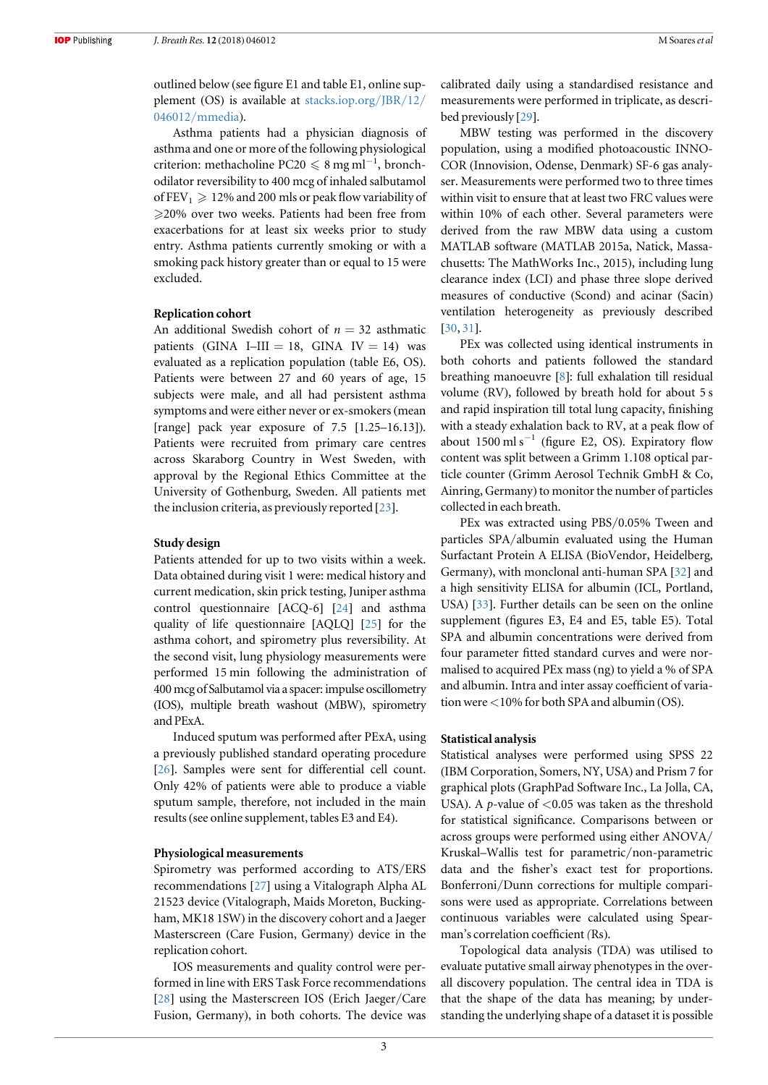outlined below (see figure E1 and table E1, online supplement (OS) is available at [stacks.iop.org](http://stacks.iop.org/JBR/12/046012/mmedia)/JBR/12/ 046012/[mmedia](http://stacks.iop.org/JBR/12/046012/mmedia)).

Asthma patients had a physician diagnosis of asthma and one or more of the following physiological criterion: methacholine PC20  $\leq 8$  mg ml<sup>-1</sup>, bronchodilator reversibility to 400 mcg of inhaled salbutamol of FEV<sub>1</sub>  $\geq$  12% and 200 mls or peak flow variability of 20% over two weeks. Patients had been free from exacerbations for at least six weeks prior to study entry. Asthma patients currently smoking or with a smoking pack history greater than or equal to 15 were excluded.

#### Replication cohort

An additional Swedish cohort of  $n = 32$  asthmatic patients (GINA I–III = 18, GINA IV = 14) was evaluated as a replication population (table E6, OS). Patients were between 27 and 60 years of age, 15 subjects were male, and all had persistent asthma symptoms and were either never or ex-smokers (mean [range] pack year exposure of 7.5 [1.25–16.13]). Patients were recruited from primary care centres across Skaraborg Country in West Sweden, with approval by the Regional Ethics Committee at the University of Gothenburg, Sweden. All patients met the inclusion criteria, as previously reported [[23](#page-10-0)].

#### Study design

Patients attended for up to two visits within a week. Data obtained during visit 1 were: medical history and current medication, skin prick testing, Juniper asthma control questionnaire [ACQ-6] [[24](#page-10-0)] and asthma quality of life questionnaire [AQLQ] [[25](#page-10-0)] for the asthma cohort, and spirometry plus reversibility. At the second visit, lung physiology measurements were performed 15 min following the administration of 400 mcg of Salbutamol via a spacer: impulse oscillometry (IOS), multiple breath washout (MBW), spirometry and PExA.

Induced sputum was performed after PExA, using a previously published standard operating procedure [[26](#page-10-0)]. Samples were sent for differential cell count. Only 42% of patients were able to produce a viable sputum sample, therefore, not included in the main results(see online supplement, tables E3 and E4).

#### Physiological measurements

Spirometry was performed according to ATS/ERS recommendations [[27](#page-10-0)] using a Vitalograph Alpha AL 21523 device (Vitalograph, Maids Moreton, Buckingham, MK18 1SW) in the discovery cohort and a Jaeger Masterscreen (Care Fusion, Germany) device in the replication cohort.

IOS measurements and quality control were performed in line with ERS Task Force recommendations [[28](#page-10-0)] using the Masterscreen IOS (Erich Jaeger/Care Fusion, Germany), in both cohorts. The device was calibrated daily using a standardised resistance and measurements were performed in triplicate, as described previously [[29](#page-10-0)].

MBW testing was performed in the discovery population, using a modified photoacoustic INNO-COR (Innovision, Odense, Denmark) SF-6 gas analyser. Measurements were performed two to three times within visit to ensure that at least two FRC values were within 10% of each other. Several parameters were derived from the raw MBW data using a custom MATLAB software (MATLAB 2015a, Natick, Massachusetts: The MathWorks Inc., 2015), including lung clearance index (LCI) and phase three slope derived measures of conductive (Scond) and acinar (Sacin) ventilation heterogeneity as previously described [[30](#page-10-0), [31](#page-10-0)].

PEx was collected using identical instruments in both cohorts and patients followed the standard breathing manoeuvre [[8](#page-9-0)]: full exhalation till residual volume (RV), followed by breath hold for about 5 s and rapid inspiration till total lung capacity, finishing with a steady exhalation back to RV, at a peak flow of about 1500 ml s<sup> $-1$ </sup> (figure E2, OS). Expiratory flow content was split between a Grimm 1.108 optical particle counter (Grimm Aerosol Technik GmbH & Co, Ainring, Germany) to monitor the number of particles collected in each breath.

PEx was extracted using PBS/0.05% Tween and particles SPA/albumin evaluated using the Human Surfactant Protein A ELISA (BioVendor, Heidelberg, Germany), with monclonal anti-human SPA [[32](#page-10-0)] and a high sensitivity ELISA for albumin (ICL, Portland, USA) [[33](#page-10-0)]. Further details can be seen on the online supplement (figures E3, E4 and E5, table E5). Total SPA and albumin concentrations were derived from four parameter fitted standard curves and were normalised to acquired PEx mass (ng) to yield a % of SPA and albumin. Intra and inter assay coefficient of variation were <10% for both SPA and albumin (OS).

#### Statistical analysis

Statistical analyses were performed using SPSS 22 (IBM Corporation, Somers, NY, USA) and Prism 7 for graphical plots (GraphPad Software Inc., La Jolla, CA, USA). A  $p$ -value of <0.05 was taken as the threshold for statistical significance. Comparisons between or across groups were performed using either ANOVA/ Kruskal–Wallis test for parametric/non-parametric data and the fisher's exact test for proportions. Bonferroni/Dunn corrections for multiple comparisons were used as appropriate. Correlations between continuous variables were calculated using Spearman's correlation coefficient (Rs).

Topological data analysis (TDA) was utilised to evaluate putative small airway phenotypes in the overall discovery population. The central idea in TDA is that the shape of the data has meaning; by understanding the underlying shape of a dataset it is possible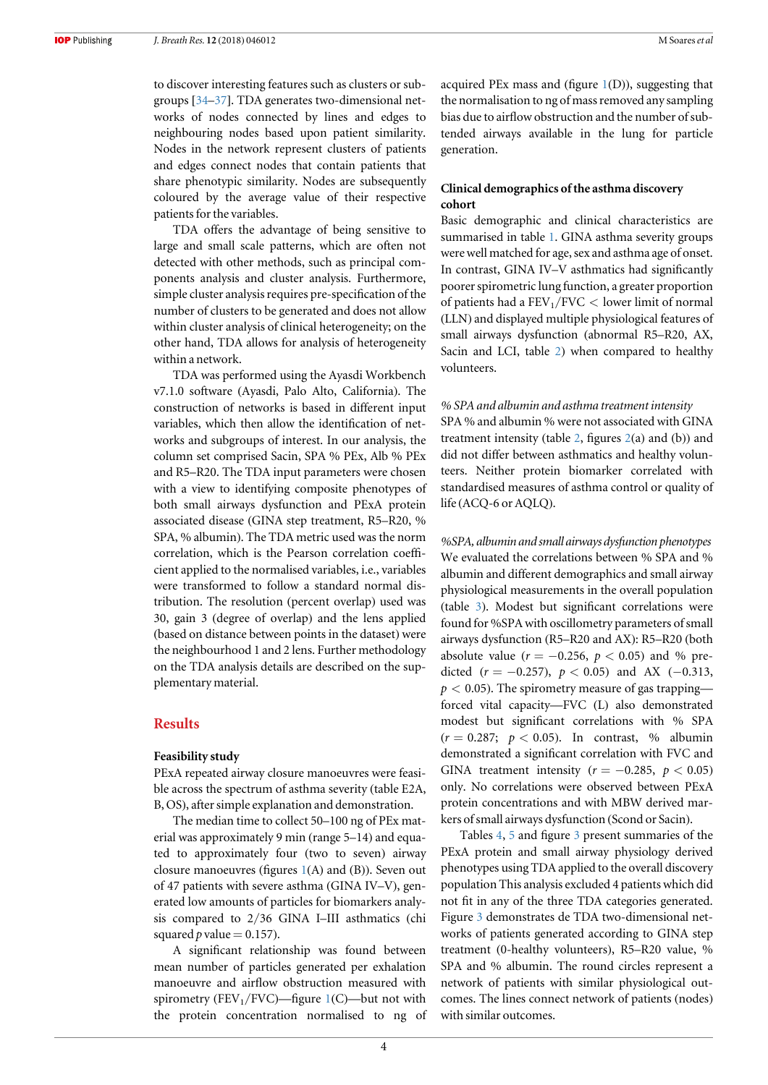to discover interesting features such as clusters or subgroups [[34](#page-10-0)–[37](#page-10-0)]. TDA generates two-dimensional networks of nodes connected by lines and edges to neighbouring nodes based upon patient similarity. Nodes in the network represent clusters of patients and edges connect nodes that contain patients that share phenotypic similarity. Nodes are subsequently coloured by the average value of their respective patients for the variables.

TDA offers the advantage of being sensitive to large and small scale patterns, which are often not detected with other methods, such as principal components analysis and cluster analysis. Furthermore, simple cluster analysis requires pre-specification of the number of clusters to be generated and does not allow within cluster analysis of clinical heterogeneity; on the other hand, TDA allows for analysis of heterogeneity within a network.

TDA was performed using the Ayasdi Workbench v7.1.0 software (Ayasdi, Palo Alto, California). The construction of networks is based in different input variables, which then allow the identification of networks and subgroups of interest. In our analysis, the column set comprised Sacin, SPA % PEx, Alb % PEx and R5–R20. The TDA input parameters were chosen with a view to identifying composite phenotypes of both small airways dysfunction and PExA protein associated disease (GINA step treatment, R5–R20, % SPA, % albumin). The TDA metric used was the norm correlation, which is the Pearson correlation coefficient applied to the normalised variables, i.e., variables were transformed to follow a standard normal distribution. The resolution (percent overlap) used was 30, gain 3 (degree of overlap) and the lens applied (based on distance between points in the dataset) were the neighbourhood 1 and 2 lens. Further methodology on the TDA analysis details are described on the supplementary material.

#### Results

#### Feasibility study

PExA repeated airway closure manoeuvres were feasible across the spectrum of asthma severity (table E2A, B, OS), after simple explanation and demonstration.

The median time to collect 50–100 ng of PEx material was approximately 9 min (range 5–14) and equated to approximately four (two to seven) airway closure manoeuvres (figures [1](#page-4-0)(A) and (B)). Seven out of 47 patients with severe asthma (GINA IV–V), generated low amounts of particles for biomarkers analysis compared to 2/36 GINA I–III asthmatics (chi squared  $p$  value = 0.157).

A significant relationship was found between mean number of particles generated per exhalation manoeuvre and airflow obstruction measured with spirometry (FEV<sub>[1](#page-4-0)</sub>/FVC)—figure 1(C)—but not with the protein concentration normalised to ng of acquired PEx mass and (figure  $1(D)$  $1(D)$ ), suggesting that the normalisation to ng of mass removed any sampling bias due to airflow obstruction and the number of subtended airways available in the lung for particle generation.

## Clinical demographics of the asthma discovery cohort

Basic demographic and clinical characteristics are summarised in table [1](#page-4-0). GINA asthma severity groups were well matched for age, sex and asthma age of onset. In contrast, GINA IV–V asthmatics had significantly poorer spirometric lung function, a greater proportion of patients had a  $FEV_1/FVC <$  lower limit of normal (LLN) and displayed multiple physiological features of small airways dysfunction (abnormal R5–R20, AX, Sacin and LCI, table [2](#page-5-0)) when compared to healthy volunteers.

% SPA and albumin and asthma treatment intensity

SPA % and albumin % were not associated with GINA treatment intensity (table [2,](#page-5-0) figures [2](#page-5-0)(a) and (b)) and did not differ between asthmatics and healthy volunteers. Neither protein biomarker correlated with standardised measures of asthma control or quality of life (ACQ-6 or AQLQ).

%SPA, albumin and small airways dysfunction phenotypes We evaluated the correlations between % SPA and % albumin and different demographics and small airway physiological measurements in the overall population (table [3](#page-6-0)). Modest but significant correlations were found for %SPA with oscillometry parameters of small airways dysfunction (R5–R20 and AX): R5–R20 (both absolute value ( $r = -0.256$ ,  $p < 0.05$ ) and % predicted ( $r = -0.257$ ),  $p < 0.05$ ) and AX (-0.313,  $p < 0.05$ ). The spirometry measure of gas trapping forced vital capacity—FVC (L) also demonstrated modest but significant correlations with % SPA  $(r = 0.287; p < 0.05)$ . In contrast, % albumin demonstrated a significant correlation with FVC and GINA treatment intensity ( $r = -0.285$ ,  $p < 0.05$ ) only. No correlations were observed between PExA protein concentrations and with MBW derived markers of small airways dysfunction (Scond or Sacin).

Tables [4,](#page-7-0) [5](#page-7-0) and figure [3](#page-8-0) present summaries of the PExA protein and small airway physiology derived phenotypes using TDA applied to the overall discovery population This analysis excluded 4 patients which did not fit in any of the three TDA categories generated. Figure [3](#page-8-0) demonstrates de TDA two-dimensional networks of patients generated according to GINA step treatment (0-healthy volunteers), R5–R20 value, % SPA and % albumin. The round circles represent a network of patients with similar physiological outcomes. The lines connect network of patients (nodes) with similar outcomes.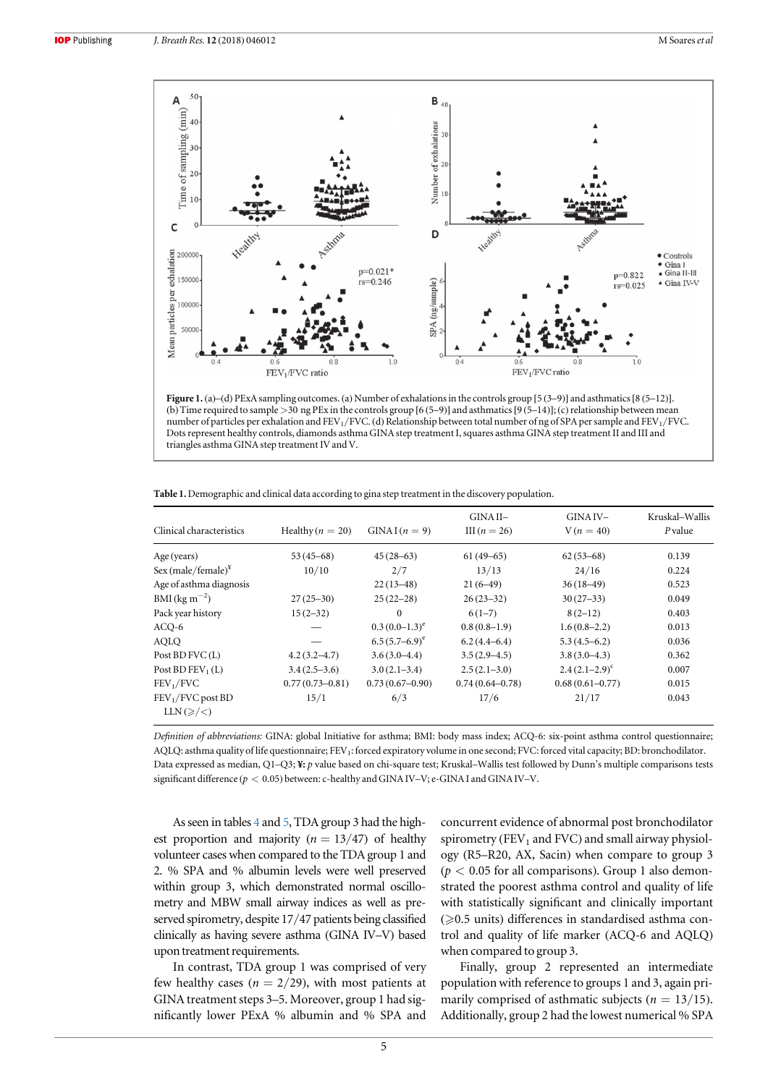<span id="page-4-0"></span>

Figure 1. (a)–(d) PExA sampling outcomes. (a) Number of exhalations in the controls group [5 (3–9)] and asthmatics[8 (5–12)]. (b) Time required to sample >30 ng PEx in the controls group [6 (5–9)] and asthmatics[9 (5–14)];(c)relationship between mean number of particles per exhalation and FEV<sub>1</sub>/FVC. (d) Relationship between total number of ng of SPA per sample and FEV<sub>1</sub>/FVC. Dots represent healthy controls, diamonds asthma GINA step treatment I, squares asthma GINA step treatment II and III and triangles asthma GINA step treatment IV and V.

| Clinical characteristics                         | Healthy $(n = 20)$  | $GINAI(n = 9)$     | GINA II-<br>III $(n=26)$ | GINA IV-<br>$V(n = 40)$ | Kruskal-Wallis<br>P value |
|--------------------------------------------------|---------------------|--------------------|--------------------------|-------------------------|---------------------------|
| Age (years)                                      | $53(45-68)$         | $45(28-63)$        | $61(49-65)$              | $62(53-68)$             | 0.139                     |
| Sex (male/female) $*$                            | 10/10               | 2/7                | 13/13                    | 24/16                   | 0.224                     |
| Age of asthma diagnosis                          |                     | $22(13-48)$        | $21(6-49)$               | $36(18-49)$             | 0.523                     |
| $BMI$ (kg m <sup>-2</sup> )                      | $27(25-30)$         | $25(22-28)$        | $26(23-32)$              | $30(27-33)$             | 0.049                     |
| Pack year history                                | $15(2-32)$          | $\mathbf{0}$       | $6(1-7)$                 | $8(2-12)$               | 0.403                     |
| $ACO-6$                                          |                     | $(0.3(0.0-1.3)^e)$ | $0.8(0.8-1.9)$           | $1.6(0.8-2.2)$          | 0.013                     |
| AOLO                                             |                     | $6.5(5.7-6.9)^e$   | $6.2(4.4-6.4)$           | $5.3(4.5-6.2)$          | 0.036                     |
| Post BD FVC(L)                                   | $4.2(3.2 - 4.7)$    | $3.6(3.0-4.4)$     | $3.5(2.9-4.5)$           | $3.8(3.0-4.3)$          | 0.362                     |
| Post BD $FEV_1(L)$                               | $3.4(2.5-3.6)$      | $3.0(2.1-3.4)$     | $2.5(2.1-3.0)$           | $2.4(2.1-2.9)^{c}$      | 0.007                     |
| FEV <sub>1</sub> /FVC                            | $0.77(0.73 - 0.81)$ | $0.73(0.67-0.90)$  | $0.74(0.64 - 0.78)$      | $0.68(0.61 - 0.77)$     | 0.015                     |
| $FEV1/FVC$ post BD<br>$LLN(\geqslant/\leqslant)$ | 15/1                | 6/3                | 17/6                     | 21/17                   | 0.043                     |

Table 1. Demographic and clinical data according to gina step treatment in the discovery population.

Definition of abbreviations: GINA: global Initiative for asthma; BMI: body mass index; ACQ-6: six-point asthma control questionnaire; AQLQ: asthma quality of life questionnaire; FEV1: forced expiratory volume in one second; FVC: forced vital capacity; BD: bronchodilator. Data expressed as median, Q1-Q3; ¥: p value based on chi-square test; Kruskal-Wallis test followed by Dunn's multiple comparisons tests significant difference ( $p < 0.05$ ) between: c-healthy and GINA IV–V; e-GINA I and GINA IV–V.

As seen in tables [4](#page-7-0) and [5,](#page-7-0) TDA group 3 had the highest proportion and majority ( $n = 13/47$ ) of healthy volunteer cases when compared to the TDA group 1 and 2. % SPA and % albumin levels were well preserved within group 3, which demonstrated normal oscillometry and MBW small airway indices as well as preserved spirometry, despite 17/47 patients being classified clinically as having severe asthma (GINA IV–V) based upon treatment requirements.

In contrast, TDA group 1 was comprised of very few healthy cases ( $n = 2/29$ ), with most patients at GINA treatment steps 3–5. Moreover, group 1 had significantly lower PExA % albumin and % SPA and concurrent evidence of abnormal post bronchodilator spirometry (FEV<sub>1</sub> and FVC) and small airway physiology (R5–R20, AX, Sacin) when compare to group 3  $(p < 0.05$  for all comparisons). Group 1 also demonstrated the poorest asthma control and quality of life with statistically significant and clinically important  $(\geqslant 0.5$  units) differences in standardised asthma control and quality of life marker (ACQ-6 and AQLQ) when compared to group 3.

Finally, group 2 represented an intermediate population with reference to groups 1 and 3, again primarily comprised of asthmatic subjects ( $n = 13/15$ ). Additionally, group 2 had the lowest numerical % SPA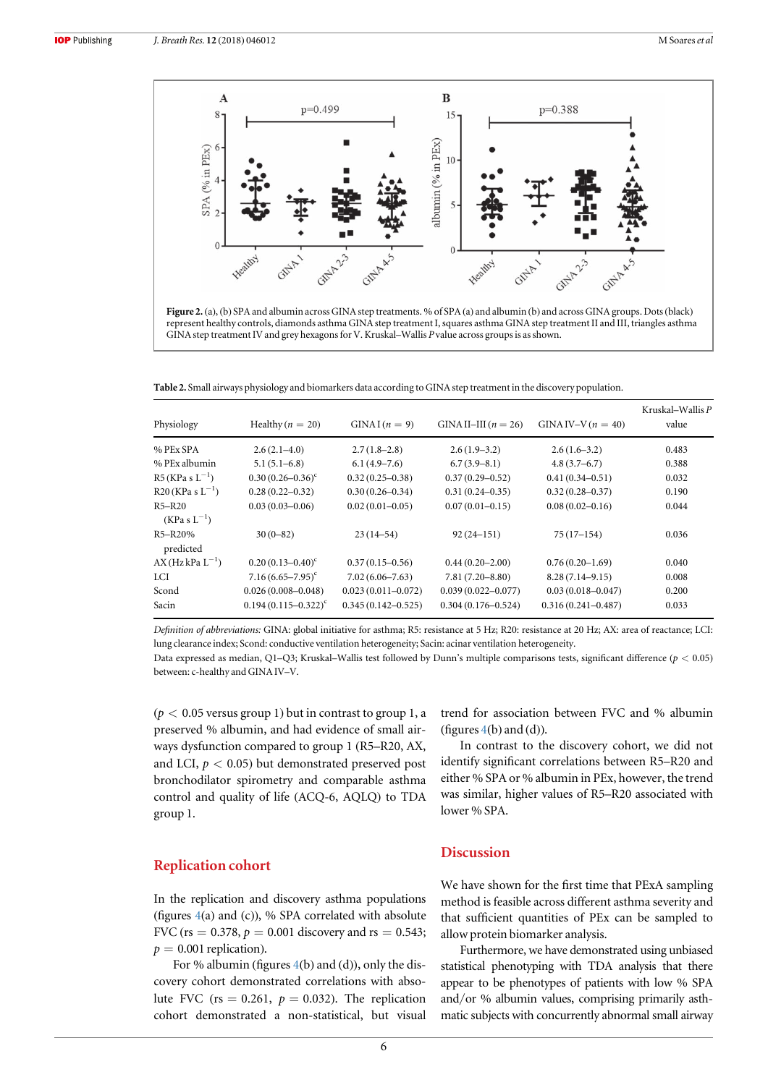<span id="page-5-0"></span>

Table 2. Small airways physiology and biomarkers data according to GINA step treatment in the discovery population.

| Physiology                 | Healthy $(n = 20)$          | $GINAI(n = 9)$         | GINA II-III $(n = 26)$ | GINA IV-V $(n = 40)$   | Kruskal–Wallis $P$<br>value |
|----------------------------|-----------------------------|------------------------|------------------------|------------------------|-----------------------------|
| % PEx SPA                  | $2.6(2.1-4.0)$              | $2.7(1.8-2.8)$         | $2.6(1.9-3.2)$         | $2.6(1.6-3.2)$         | 0.483                       |
| % PEx albumin              | $5.1(5.1-6.8)$              | $6.1(4.9-7.6)$         | $6.7(3.9 - 8.1)$       | $4.8(3.7-6.7)$         | 0.388                       |
| $R5$ (KPa s $L^{-1}$ )     | $0.30(0.26 - 0.36)^c$       | $0.32(0.25 - 0.38)$    | $0.37(0.29 - 0.52)$    | $0.41(0.34 - 0.51)$    | 0.032                       |
| $R20$ (KPa s $L^{-1}$ )    | $0.28(0.22 - 0.32)$         | $0.30(0.26 - 0.34)$    | $0.31(0.24 - 0.35)$    | $0.32(0.28 - 0.37)$    | 0.190                       |
| R5-R20<br>$(KPa S L^{-1})$ | $0.03(0.03 - 0.06)$         | $0.02(0.01 - 0.05)$    | $0.07(0.01 - 0.15)$    | $0.08(0.02 - 0.16)$    | 0.044                       |
| R5-R20%<br>predicted       | $30(0-82)$                  | $23(14-54)$            | $92(24 - 151)$         | $75(17-154)$           | 0.036                       |
| $AX(HzkPa L^{-1})$         | $0.20(0.13-0.40)^c$         | $0.37(0.15 - 0.56)$    | $0.44(0.20 - 2.00)$    | $0.76(0.20-1.69)$      | 0.040                       |
| LCI                        | $7.16(6.65 - 7.95)^{\circ}$ | $7.02(6.06 - 7.63)$    | $7.81(7.20 - 8.80)$    | $8.28(7.14 - 9.15)$    | 0.008                       |
| Scond                      | $0.026(0.008 - 0.048)$      | $0.023(0.011 - 0.072)$ | $0.039(0.022 - 0.077)$ | $0.03(0.018 - 0.047)$  | 0.200                       |
| Sacin                      | $0.194(0.115-0.322)^{c}$    | $0.345(0.142 - 0.525)$ | $0.304(0.176 - 0.524)$ | $0.316(0.241 - 0.487)$ | 0.033                       |

Definition of abbreviations: GINA: global initiative for asthma; R5: resistance at 5 Hz; R20: resistance at 20 Hz; AX: area of reactance; LCI: lung clearance index; Scond: conductive ventilation heterogeneity; Sacin: acinar ventilation heterogeneity.

Data expressed as median, Q1-Q3; Kruskal–Wallis test followed by Dunn's multiple comparisons tests, significant difference  $(p < 0.05)$ between: c-healthy and GINA IV–V.

 $(p < 0.05$  versus group 1) but in contrast to group 1, a preserved % albumin, and had evidence of small airways dysfunction compared to group 1 (R5–R20, AX, and LCI,  $p < 0.05$ ) but demonstrated preserved post bronchodilator spirometry and comparable asthma control and quality of life (ACQ-6, AQLQ) to TDA group 1.

## Replication cohort

In the replication and discovery asthma populations (figures [4](#page-8-0)(a) and (c)), % SPA correlated with absolute FVC (rs = 0.378,  $p = 0.001$  discovery and rs = 0.543;  $p = 0.001$  replication).

For % albumin (figures  $4(b)$  $4(b)$  and (d)), only the discovery cohort demonstrated correlations with absolute FVC (rs = 0.261,  $p = 0.032$ ). The replication cohort demonstrated a non-statistical, but visual trend for association between FVC and % albumin (figures  $4(b)$  $4(b)$  and  $(d)$ ).

In contrast to the discovery cohort, we did not identify significant correlations between R5–R20 and either % SPA or % albumin in PEx, however, the trend was similar, higher values of R5–R20 associated with lower % SPA.

#### **Discussion**

We have shown for the first time that PExA sampling method is feasible across different asthma severity and that sufficient quantities of PEx can be sampled to allow protein biomarker analysis.

Furthermore, we have demonstrated using unbiased statistical phenotyping with TDA analysis that there appear to be phenotypes of patients with low % SPA and/or % albumin values, comprising primarily asthmatic subjects with concurrently abnormal small airway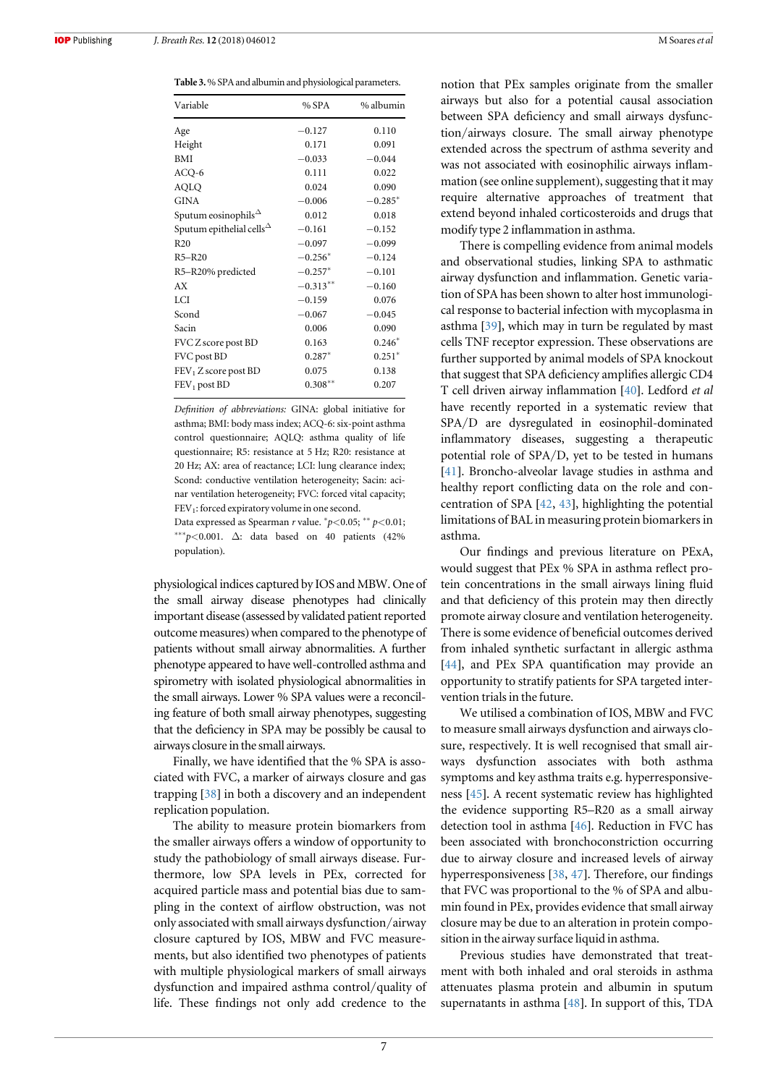<span id="page-6-0"></span>Table 3.% SPA and albumin and physiological parameters.

| Variable                                                  | $%$ SPA    | % albumin |
|-----------------------------------------------------------|------------|-----------|
| Age                                                       | $-0.127$   | 0.110     |
| Height                                                    | 0.171      | 0.091     |
| <b>BMI</b>                                                | $-0.033$   | $-0.044$  |
| ACQ-6                                                     | 0.111      | 0.022     |
| AQLQ                                                      | 0.024      | 0.090     |
| <b>GINA</b>                                               | $-0.006$   | $-0.285*$ |
| Sputum eosinophils $\triangle$                            | 0.012      | 0.018     |
| Sputum epithelial cells <sup><math>\triangle</math></sup> | $-0.161$   | $-0.152$  |
| R <sub>20</sub>                                           | $-0.097$   | $-0.099$  |
| $R5 - R20$                                                | $-0.256*$  | $-0.124$  |
| R5-R20% predicted                                         | $-0.257*$  | $-0.101$  |
| AX                                                        | $-0.313**$ | $-0.160$  |
| LCI                                                       | $-0.159$   | 0.076     |
| Scond                                                     | $-0.067$   | $-0.045$  |
| Sacin                                                     | 0.006      | 0.090     |
| FVC Z score post BD                                       | 0.163      | $0.246*$  |
| FVC post BD                                               | $0.287*$   | $0.251*$  |
| FEV <sub>1</sub> Z score post BD                          | 0.075      | 0.138     |
| $FEV1$ post BD                                            | $0.308***$ | 0.207     |

Definition of abbreviations: GINA: global initiative for asthma; BMI: body mass index; ACQ-6: six-point asthma control questionnaire; AQLQ: asthma quality of life questionnaire; R5: resistance at 5 Hz; R20: resistance at 20 Hz; AX: area of reactance; LCI: lung clearance index; Scond: conductive ventilation heterogeneity; Sacin: acinar ventilation heterogeneity; FVC: forced vital capacity; FEV<sub>1</sub>: forced expiratory volume in one second.

Data expressed as Spearman r value.  $^{*}p<0.05; ^{**}p<0.01;$ \*\*\* $p$ <0.001.  $\Delta$ : data based on 40 patients (42% population).

physiological indices captured by IOS and MBW. One of the small airway disease phenotypes had clinically important disease (assessed by validated patient reported outcome measures) when compared to the phenotype of patients without small airway abnormalities. A further phenotype appeared to have well-controlled asthma and spirometry with isolated physiological abnormalities in the small airways. Lower % SPA values were a reconciling feature of both small airway phenotypes, suggesting that the deficiency in SPA may be possibly be causal to airways closure in the small airways.

Finally, we have identified that the % SPA is associated with FVC, a marker of airways closure and gas trapping [[38](#page-10-0)] in both a discovery and an independent replication population.

The ability to measure protein biomarkers from the smaller airways offers a window of opportunity to study the pathobiology of small airways disease. Furthermore, low SPA levels in PEx, corrected for acquired particle mass and potential bias due to sampling in the context of airflow obstruction, was not only associated with small airways dysfunction/airway closure captured by IOS, MBW and FVC measurements, but also identified two phenotypes of patients with multiple physiological markers of small airways dysfunction and impaired asthma control/quality of life. These findings not only add credence to the notion that PEx samples originate from the smaller airways but also for a potential causal association between SPA deficiency and small airways dysfunction/airways closure. The small airway phenotype extended across the spectrum of asthma severity and was not associated with eosinophilic airways inflammation (see online supplement), suggesting that it may require alternative approaches of treatment that extend beyond inhaled corticosteroids and drugs that modify type 2 inflammation in asthma.

There is compelling evidence from animal models and observational studies, linking SPA to asthmatic airway dysfunction and inflammation. Genetic variation of SPA has been shown to alter host immunological response to bacterial infection with mycoplasma in asthma [[39](#page-10-0)], which may in turn be regulated by mast cells TNF receptor expression. These observations are further supported by animal models of SPA knockout that suggest that SPA deficiency amplifies allergic CD4 T cell driven airway inflammation [[40](#page-10-0)]. Ledford et al have recently reported in a systematic review that SPA/D are dysregulated in eosinophil-dominated inflammatory diseases, suggesting a therapeutic potential role of SPA/D, yet to be tested in humans [[41](#page-10-0)]. Broncho-alveolar lavage studies in asthma and healthy report conflicting data on the role and concentration of SPA [[42](#page-10-0), [43](#page-10-0)], highlighting the potential limitations of BAL in measuring protein biomarkers in asthma.

Our findings and previous literature on PExA, would suggest that PEx % SPA in asthma reflect protein concentrations in the small airways lining fluid and that deficiency of this protein may then directly promote airway closure and ventilation heterogeneity. There is some evidence of beneficial outcomes derived from inhaled synthetic surfactant in allergic asthma [[44](#page-10-0)], and PEx SPA quantification may provide an opportunity to stratify patients for SPA targeted intervention trials in the future.

We utilised a combination of IOS, MBW and FVC to measure small airways dysfunction and airways closure, respectively. It is well recognised that small airways dysfunction associates with both asthma symptoms and key asthma traits e.g. hyperresponsiveness [[45](#page-10-0)]. A recent systematic review has highlighted the evidence supporting R5–R20 as a small airway detection tool in asthma [[46](#page-10-0)]. Reduction in FVC has been associated with bronchoconstriction occurring due to airway closure and increased levels of airway hyperresponsiveness [[38,](#page-10-0) [47](#page-10-0)]. Therefore, our findings that FVC was proportional to the % of SPA and albumin found in PEx, provides evidence that small airway closure may be due to an alteration in protein composition in the airway surface liquid in asthma.

Previous studies have demonstrated that treatment with both inhaled and oral steroids in asthma attenuates plasma protein and albumin in sputum supernatants in asthma [[48](#page-10-0)]. In support of this, TDA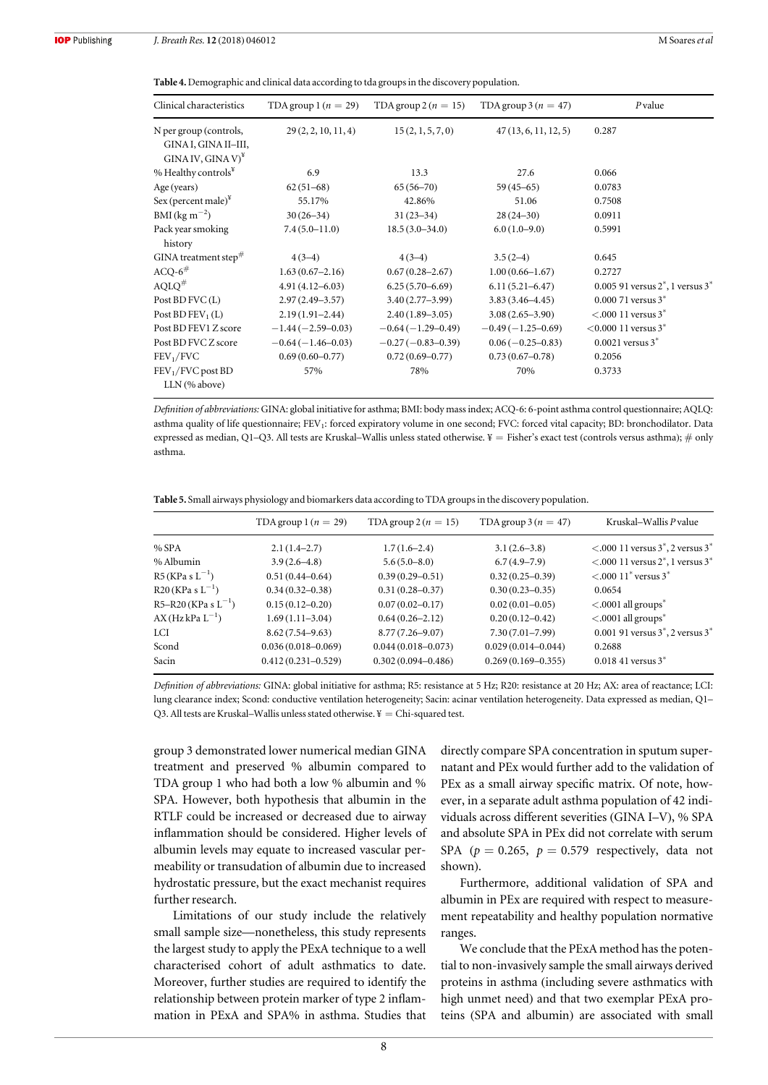<span id="page-7-0"></span>Table 4. Demographic and clinical data according to tda groups in the discovery population.

| Clinical characteristics                                                 | TDA group $1(n = 29)$ | TDA group $2(n = 15)$ | TDA group $3(n = 47)$ | $P$ value                              |
|--------------------------------------------------------------------------|-----------------------|-----------------------|-----------------------|----------------------------------------|
| N per group (controls,<br>GINA I, GINA II-III,<br>$GINA IV, GINA V)^{y}$ | 29(2, 2, 10, 11, 4)   | 15(2, 1, 5, 7, 0)     | 47(13, 6, 11, 12, 5)  | 0.287                                  |
| % Healthy controls $^{\tt Y}$                                            | 6.9                   | 13.3                  | 27.6                  | 0.066                                  |
| Age (years)                                                              | $62(51-68)$           | $65(56-70)$           | $59(45-65)$           | 0.0783                                 |
| Sex (percent male)*                                                      | 55.17%                | 42.86%                | 51.06                 | 0.7508                                 |
| BMI (kg m <sup><math>-2</math></sup> )                                   | $30(26-34)$           | $31(23-34)$           | $28(24-30)$           | 0.0911                                 |
| Pack year smoking<br>history                                             | $7.4(5.0-11.0)$       | $18.5(3.0-34.0)$      | $6.0(1.0-9.0)$        | 0.5991                                 |
| GINA treatment step $^{\#}$                                              | $4(3-4)$              | $4(3-4)$              | $3.5(2-4)$            | 0.645                                  |
| ACQ-6 $^{\#}$                                                            | $1.63(0.67-2.16)$     | $0.67(0.28 - 2.67)$   | $1.00(0.66 - 1.67)$   | 0.2727                                 |
| $\mathrm{AOLO}^{\#}$                                                     | $4.91(4.12 - 6.03)$   | $6.25(5.70-6.69)$     | $6.11(5.21 - 6.47)$   | 0.005 91 versus $2^*$ , 1 versus $3^*$ |
| Post BD FVC(L)                                                           | $2.97(2.49 - 3.57)$   | $3.40(2.77 - 3.99)$   | $3.83(3.46 - 4.45)$   | $0.00071$ versus $3^*$                 |
| Post $BD$ $FEV_1(L)$                                                     | $2.19(1.91 - 2.44)$   | $2.40(1.89 - 3.05)$   | $3.08(2.65 - 3.90)$   | $< 000$ 11 versus 3 <sup>*</sup>       |
| Post BD FEV1 Z score                                                     | $-1.44(-2.59-0.03)$   | $-0.64(-1.29-0.49)$   | $-0.49(-1.25-0.69)$   | $<$ 0.000 11 versus 3 <sup>*</sup>     |
| Post BD FVC Z score                                                      | $-0.64(-1.46-0.03)$   | $-0.27(-0.83-0.39)$   | $0.06(-0.25-0.83)$    | $0.0021$ versus $3^*$                  |
| FEV <sub>1</sub> /FVC                                                    | $0.69(0.60 - 0.77)$   | $0.72(0.69 - 0.77)$   | $0.73(0.67 - 0.78)$   | 0.2056                                 |
| $FEV1/FVC$ post $BD$<br>LLN (% above)                                    | 57%                   | 78%                   | 70%                   | 0.3733                                 |
|                                                                          |                       |                       |                       |                                        |

Definition of abbreviations:GINA: global initiative for asthma; BMI: body mass index; ACQ-6: 6-point asthma control questionnaire; AQLQ: asthma quality of life questionnaire; FEV<sub>1</sub>: forced expiratory volume in one second; FVC: forced vital capacity; BD: bronchodilator. Data expressed as median, Q1-Q3. All tests are Kruskal-Wallis unless stated otherwise. ¥ = Fisher's exact test (controls versus asthma); # only asthma.

Table 5. Small airways physiology and biomarkers data according to TDA groups in the discovery population.

|                            | TDA group $1(n = 29)$  | TDA group $2(n = 15)$  | TDA group $3(n = 47)$  | Kruskal–Wallis P value                                         |
|----------------------------|------------------------|------------------------|------------------------|----------------------------------------------------------------|
| % SPA                      | $2.1(1.4-2.7)$         | $1.7(1.6-2.4)$         | $3.1(2.6-3.8)$         | $\leq$ .000 11 versus 3 <sup>*</sup> , 2 versus 3 <sup>*</sup> |
| % Albumin                  | $3.9(2.6 - 4.8)$       | $5.6(5.0 - 8.0)$       | $6.7(4.9-7.9)$         | $< 0.0011$ versus 2 <sup>*</sup> , 1 versus 3 <sup>*</sup>     |
| $R5(KPa s L^{-1})$         | $0.51(0.44 - 0.64)$    | $0.39(0.29 - 0.51)$    | $0.32(0.25 - 0.39)$    | $< 0.00011$ versus 3 <sup>*</sup>                              |
| $R20$ (KPa s $L^{-1}$ )    | $0.34(0.32 - 0.38)$    | $0.31(0.28 - 0.37)$    | $0.30(0.23 - 0.35)$    | 0.0654                                                         |
| $R5-R20$ (KPa s $L^{-1}$ ) | $0.15(0.12 - 0.20)$    | $0.07(0.02 - 0.17)$    | $0.02(0.01 - 0.05)$    | $< .0001$ all groups <sup>*</sup>                              |
| $AX(HzkPa L^{-1})$         | $1.69(1.11-3.04)$      | $0.64(0.26 - 2.12)$    | $0.20(0.12 - 0.42)$    | $< .0001$ all groups <sup>*</sup>                              |
| LCI                        | $8.62(7.54 - 9.63)$    | $8.77(7.26 - 9.07)$    | $7.30(7.01 - 7.99)$    | 0.001 91 versus $3^*$ , 2 versus $3^*$                         |
| Scond                      | $0.036(0.018 - 0.069)$ | $0.044(0.018 - 0.073)$ | $0.029(0.014 - 0.044)$ | 0.2688                                                         |
| Sacin                      | $0.412(0.231 - 0.529)$ | $0.302(0.094 - 0.486)$ | $0.269(0.169 - 0.355)$ | $0.018$ 41 versus $3^*$                                        |

Definition of abbreviations: GINA: global initiative for asthma; R5: resistance at 5 Hz; R20: resistance at 20 Hz; AX: area of reactance; LCI: lung clearance index; Scond: conductive ventilation heterogeneity; Sacin: acinar ventilation heterogeneity. Data expressed as median, Q1– Q3. All tests are Kruskal–Wallis unless stated otherwise.  $\mathbf{F} = \text{Chi-squared test.}$ 

group 3 demonstrated lower numerical median GINA treatment and preserved % albumin compared to TDA group 1 who had both a low % albumin and % SPA. However, both hypothesis that albumin in the RTLF could be increased or decreased due to airway inflammation should be considered. Higher levels of albumin levels may equate to increased vascular permeability or transudation of albumin due to increased hydrostatic pressure, but the exact mechanist requires further research.

Limitations of our study include the relatively small sample size—nonetheless, this study represents the largest study to apply the PExA technique to a well characterised cohort of adult asthmatics to date. Moreover, further studies are required to identify the relationship between protein marker of type 2 inflammation in PExA and SPA% in asthma. Studies that directly compare SPA concentration in sputum supernatant and PEx would further add to the validation of PEx as a small airway specific matrix. Of note, however, in a separate adult asthma population of 42 individuals across different severities (GINA I–V), % SPA and absolute SPA in PEx did not correlate with serum SPA ( $p = 0.265$ ,  $p = 0.579$  respectively, data not shown).

Furthermore, additional validation of SPA and albumin in PEx are required with respect to measurement repeatability and healthy population normative ranges.

We conclude that the PExA method has the potential to non-invasively sample the small airways derived proteins in asthma (including severe asthmatics with high unmet need) and that two exemplar PExA proteins (SPA and albumin) are associated with small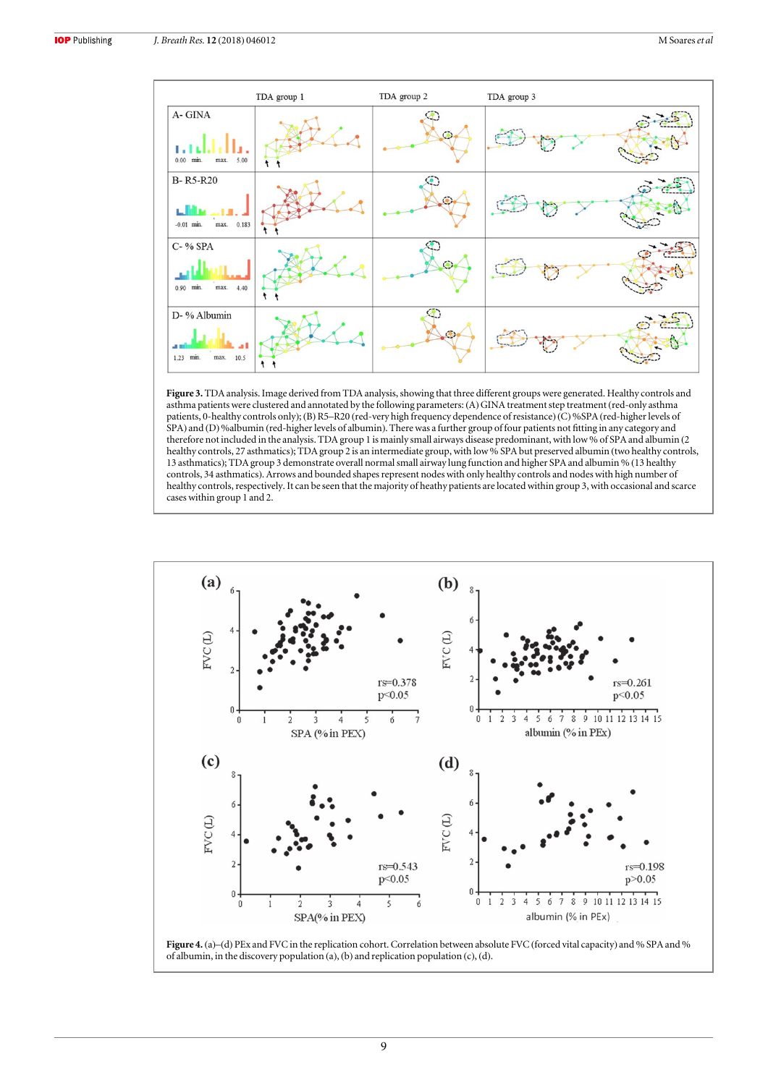<span id="page-8-0"></span>

Figure 3. TDA analysis. Image derived from TDA analysis, showing that three different groups were generated. Healthy controls and asthma patients were clustered and annotated by the following parameters: (A)GINA treatment step treatment (red-only asthma patients, 0-healthy controls only);(B) R5–R20 (red-very high frequency dependence of resistance) (C) %SPA (red-higher levels of SPA) and (D) %albumin (red-higher levels of albumin). There was a further group of four patients not fitting in any category and therefore not included in the analysis. TDA group 1 is mainly small airways disease predominant, with low % of SPA and albumin (2 healthy controls, 27 asthmatics); TDA group 2 is an intermediate group, with low % SPA but preserved albumin (two healthy controls, 13 asthmatics); TDA group 3 demonstrate overall normal small airway lung function and higher SPA and albumin % (13 healthy controls, 34 asthmatics). Arrows and bounded shapes represent nodes with only healthy controls and nodes with high number of healthy controls, respectively. It can be seen that the majority of heathy patients are located within group 3, with occasional and scarce cases within group 1 and 2.



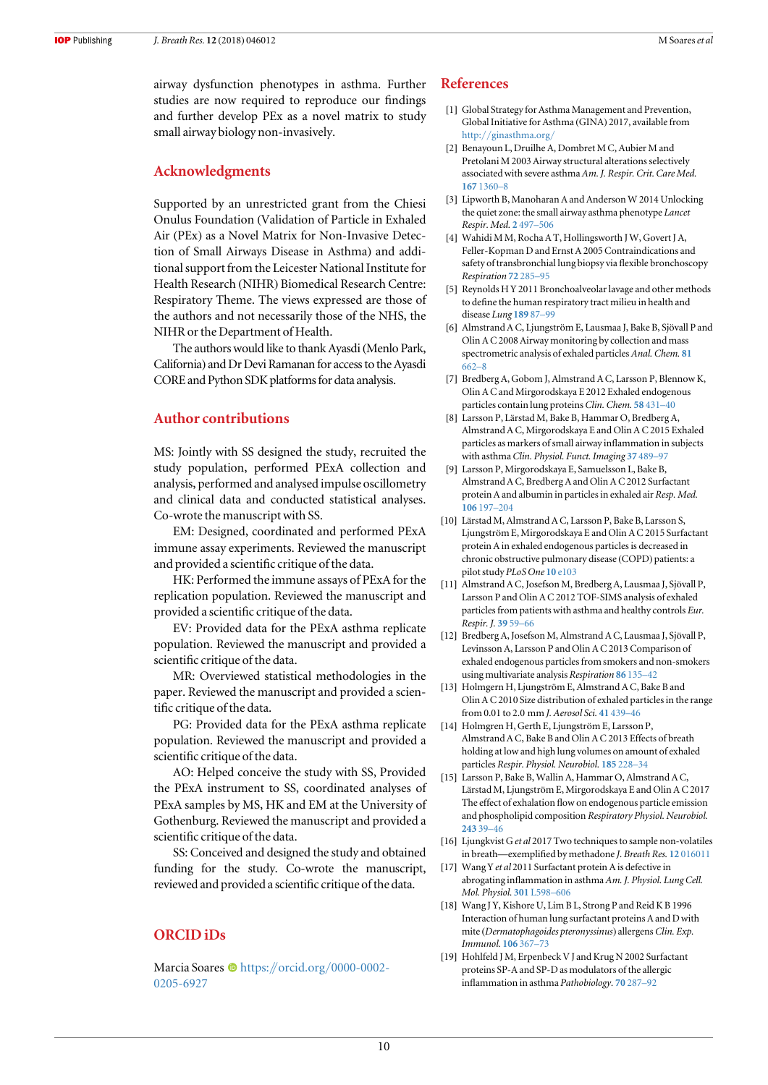<span id="page-9-0"></span>**IOP** Publishing

airway dysfunction phenotypes in asthma. Further studies are now required to reproduce our findings and further develop PEx as a novel matrix to study small airway biology non-invasively.

## Acknowledgments

Supported by an unrestricted grant from the Chiesi Onulus Foundation (Validation of Particle in Exhaled Air (PEx) as a Novel Matrix for Non-Invasive Detection of Small Airways Disease in Asthma) and additional support from the Leicester National Institute for Health Research (NIHR) Biomedical Research Centre: Respiratory Theme. The views expressed are those of the authors and not necessarily those of the NHS, the NIHR or the Department of Health.

The authors would like to thank Ayasdi (Menlo Park, California) and Dr Devi Ramanan for access to the Ayasdi CORE and Python SDK platforms for data analysis.

### Author contributions

MS: Jointly with SS designed the study, recruited the study population, performed PExA collection and analysis, performed and analysed impulse oscillometry and clinical data and conducted statistical analyses. Co-wrote the manuscript with SS.

EM: Designed, coordinated and performed PExA immune assay experiments. Reviewed the manuscript and provided a scientific critique of the data.

HK: Performed the immune assays of PExA for the replication population. Reviewed the manuscript and provided a scientific critique of the data.

EV: Provided data for the PExA asthma replicate population. Reviewed the manuscript and provided a scientific critique of the data.

MR: Overviewed statistical methodologies in the paper. Reviewed the manuscript and provided a scientific critique of the data.

PG: Provided data for the PExA asthma replicate population. Reviewed the manuscript and provided a scientific critique of the data.

AO: Helped conceive the study with SS, Provided the PExA instrument to SS, coordinated analyses of PExA samples by MS, HK and EM at the University of Gothenburg. Reviewed the manuscript and provided a scientific critique of the data.

SS: Conceived and designed the study and obtained funding for the study. Co-wrote the manuscript, reviewed and provided a scientific critique of the data.

## ORCID iDs

Marcia Soares  $\bullet$  [https:](https://orcid.org/0000-0002-0205-6927)//orcid.org/[0000-0002-](https://orcid.org/0000-0002-0205-6927) [0205-6927](https://orcid.org/0000-0002-0205-6927)

#### References

- [1] Global Strategy for Asthma Management and Prevention, Global Initiative for Asthma (GINA) 2017, available from http://[ginasthma.org](http://ginasthma.org/)/
- [2] Benayoun L, Druilhe A, Dombret M C, Aubier M and Pretolani M 2003 Airway structural alterations selectively associated with severe asthma Am. J. Respir. Crit. Care Med. 167 [1360](https://doi.org/10.1164/rccm.200209-1030OC)–8
- [3] Lipworth B, Manoharan A and Anderson W 2014 Unlocking the quiet zone: the small airway asthma phenotype Lancet Respir. Med. 2 [497](https://doi.org/10.1016/S2213-2600(14)70103-1)–506
- [4] Wahidi M M, Rocha A T, Hollingsworth J W, Govert J A, Feller-Kopman D and Ernst A 2005 Contraindications and safety of transbronchial lung biopsy via flexible bronchoscopy Respiration 72 [285](https://doi.org/10.1159/000085370)–95
- [5] Reynolds H Y 2011 Bronchoalveolar lavage and other methods to define the human respiratory tract milieu in health and disease Lung [189](https://doi.org/10.1007/s00408-011-9284-5) 87–99
- [6] Almstrand A C, Ljungström E, Lausmaa J, Bake B, Sjövall P and Olin A C 2008 Airway monitoring by collection and mass spectrometric analysis of exhaled particles Anal. Chem. [81](https://doi.org/10.1021/ac802055k) [662](https://doi.org/10.1021/ac802055k)–8
- [7] Bredberg A, Gobom J, Almstrand A C, Larsson P, Blennow K, Olin A C and Mirgorodskaya E 2012 Exhaled endogenous particles contain lung proteins Clin. Chem. 58 [431](https://doi.org/10.1373/clinchem.2011.169235)–40
- [8] Larsson P, Lärstad M, Bake B, Hammar O, Bredberg A, Almstrand A C, Mirgorodskaya E and Olin A C 2015 Exhaled particles as markers of small airway inflammation in subjects with asthma Clin. Physiol. Funct. Imaging 37 [489](https://doi.org/10.1111/cpf.12323)–97
- [9] Larsson P, Mirgorodskaya E, Samuelsson L, Bake B, Almstrand A C, Bredberg A and Olin A C 2012 Surfactant protein A and albumin in particles in exhaled air Resp. Med. [106](https://doi.org/10.1016/j.rmed.2011.10.008) 197–204
- [10] Lärstad M, Almstrand A C, Larsson P, Bake B, Larsson S, Ljungström E, Mirgorodskaya E and Olin A C 2015 Surfactant protein A in exhaled endogenous particles is decreased in chronic obstructive pulmonary disease (COPD) patients: a pilot study PLoS One 10 [e103](https://doi.org/10.1371/journal.pone.0144463)
- [11] Almstrand A C, Josefson M, Bredberg A, Lausmaa J, Sjövall P, Larsson P and Olin A C 2012 TOF-SIMS analysis of exhaled particles from patients with asthma and healthy controls Eur. Respir. J. [39](https://doi.org/10.1183/09031936.00195610) 59–66
- [12] Bredberg A, Josefson M, Almstrand A C, Lausmaa J, Sjövall P, Levinsson A, Larsson P and Olin A C 2013 Comparison of exhaled endogenous particles from smokers and non-smokers using multivariate analysis Respiration 86 [135](https://doi.org/10.1159/000350941)–42
- [13] Holmgern H, Ljungström E, Almstrand A C, Bake B and Olin A C 2010 Size distribution of exhaled particles in the range from 0.01 to 2.0 mm J. Aerosol Sci. 41 [439](https://doi.org/10.1016/j.jaerosci.2010.02.011)–46
- [14] Holmgren H, Gerth E, Ljungström E, Larsson P, Almstrand A C, Bake B and Olin A C 2013 Effects of breath holding at low and high lung volumes on amount of exhaled particles Respir. Physiol. Neurobiol. [185](https://doi.org/10.1016/j.resp.2012.10.010) 228–34
- [15] Larsson P, Bake B, Wallin A, Hammar O, Almstrand A C, Lärstad M, Ljungström E, Mirgorodskaya E and Olin A C 2017 The effect of exhalation flow on endogenous particle emission and phospholipid composition Respiratory Physiol. Neurobiol. [243](https://doi.org/10.1016/j.resp.2017.05.003) 39–46
- [16] Ljungkvist G et al 2017 Two techniques to sample non-volatiles in breath—exemplified by methadone J. Breath Res. 12 [016011](https://doi.org/10.1088/1752-7163/aa8b25)
- [17] Wang Y et al 2011 Surfactant protein A is defective in abrogating inflammation in asthma Am. J. Physiol. Lung Cell. Mol. Physiol. 301 [L598](https://doi.org/10.1152/ajplung.00381.2010)–606
- [18] Wang J Y, Kishore U, Lim B L, Strong P and Reid K B 1996 Interaction of human lung surfactant proteins A and D with mite (Dermatophagoides pteronyssinus) allergens Clin. Exp. Immunol. [106](https://doi.org/10.1046/j.1365-2249.1996.d01-838.x) 367–73
- [19] Hohlfeld J M, Erpenbeck V J and Krug N 2002 Surfactant proteins SP-A and SP-D as modulators of the allergic inflammation in asthma Pathobiology. 70 [287](https://doi.org/10.1159/000070744)–92